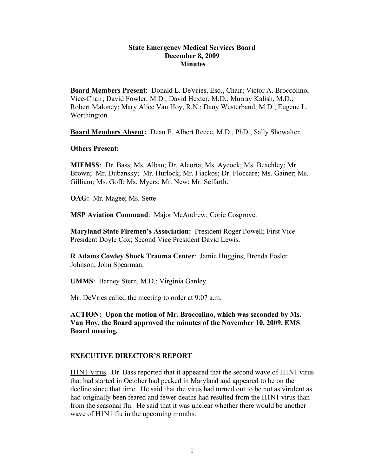#### **State Emergency Medical Services Board December 8, 2009 Minutes**

**Board Members Present**: Donald L. DeVries, Esq., Chair; Victor A. Broccolino, Vice-Chair; David Fowler, M.D.; David Hexter, M.D.; Murray Kalish, M.D.; Robert Maloney; Mary Alice Van Hoy, R.N.; Dany Westerband, M.D.; Eugene L. Worthington.

**Board Members Absent:** Dean E. Albert Reece, M.D., PhD.; Sally Showalter.

#### **Others Present:**

**MIEMSS**: Dr. Bass; Ms. Alban; Dr. Alcorta; Ms. Aycock; Ms. Beachley; Mr. Brown; Mr. Dubansky; Mr. Hurlock; Mr. Fiackos; Dr. Floccare; Ms. Gainer; Ms. Gilliam; Ms. Goff; Ms. Myers; Mr. New; Mr. Seifarth.

**OAG:** Mr. Magee; Ms. Sette

**MSP Aviation Command**: Major McAndrew; Corie Cosgrove.

**Maryland State Firemen's Association:** President Roger Powell; First Vice President Doyle Cox; Second Vice President David Lewis.

**R Adams Cowley Shock Trauma Center**: Jamie Huggins; Brenda Fosler Johnson; John Spearman.

**UMMS**: Barney Stern, M.D.; Virginia Ganley.

Mr. DeVries called the meeting to order at 9:07 a.m.

**ACTION: Upon the motion of Mr. Broccolino, which was seconded by Ms. Van Hoy, the Board approved the minutes of the November 10, 2009, EMS Board meeting.**

#### **EXECUTIVE DIRECTOR'S REPORT**

H1N1 Virus. Dr. Bass reported that it appeared that the second wave of H1N1 virus that had started in October had peaked in Maryland and appeared to be on the decline since that time. He said that the virus had turned out to be not as virulent as had originally been feared and fewer deaths had resulted from the H1N1 virus than from the seasonal flu. He said that it was unclear whether there would be another wave of H1N1 flu in the upcoming months.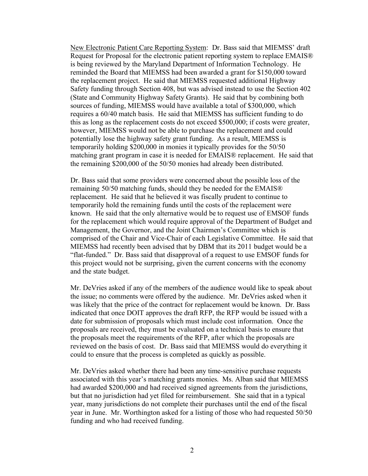New Electronic Patient Care Reporting System: Dr. Bass said that MIEMSS' draft Request for Proposal for the electronic patient reporting system to replace EMAIS® is being reviewed by the Maryland Department of Information Technology. He reminded the Board that MIEMSS had been awarded a grant for \$150,000 toward the replacement project. He said that MIEMSS requested additional Highway Safety funding through Section 408, but was advised instead to use the Section 402 (State and Community Highway Safety Grants). He said that by combining both sources of funding, MIEMSS would have available a total of \$300,000, which requires a 60/40 match basis. He said that MIEMSS has sufficient funding to do this as long as the replacement costs do not exceed \$500,000; if costs were greater, however, MIEMSS would not be able to purchase the replacement and could potentially lose the highway safety grant funding. As a result, MIEMSS is temporarily holding \$200,000 in monies it typically provides for the 50/50 matching grant program in case it is needed for EMAIS® replacement. He said that the remaining \$200,000 of the 50/50 monies had already been distributed.

Dr. Bass said that some providers were concerned about the possible loss of the remaining 50/50 matching funds, should they be needed for the EMAIS® replacement. He said that he believed it was fiscally prudent to continue to temporarily hold the remaining funds until the costs of the replacement were known. He said that the only alternative would be to request use of EMSOF funds for the replacement which would require approval of the Department of Budget and Management, the Governor, and the Joint Chairmen's Committee which is comprised of the Chair and Vice-Chair of each Legislative Committee. He said that MIEMSS had recently been advised that by DBM that its 2011 budget would be a "flat-funded." Dr. Bass said that disapproval of a request to use EMSOF funds for this project would not be surprising, given the current concerns with the economy and the state budget.

Mr. DeVries asked if any of the members of the audience would like to speak about the issue; no comments were offered by the audience. Mr. DeVries asked when it was likely that the price of the contract for replacement would be known. Dr. Bass indicated that once DOIT approves the draft RFP, the RFP would be issued with a date for submission of proposals which must include cost information. Once the proposals are received, they must be evaluated on a technical basis to ensure that the proposals meet the requirements of the RFP, after which the proposals are reviewed on the basis of cost. Dr. Bass said that MIEMSS would do everything it could to ensure that the process is completed as quickly as possible.

Mr. DeVries asked whether there had been any time-sensitive purchase requests associated with this year's matching grants monies. Ms. Alban said that MIEMSS had awarded \$200,000 and had received signed agreements from the jurisdictions, but that no jurisdiction had yet filed for reimbursement. She said that in a typical year, many jurisdictions do not complete their purchases until the end of the fiscal year in June. Mr. Worthington asked for a listing of those who had requested 50/50 funding and who had received funding.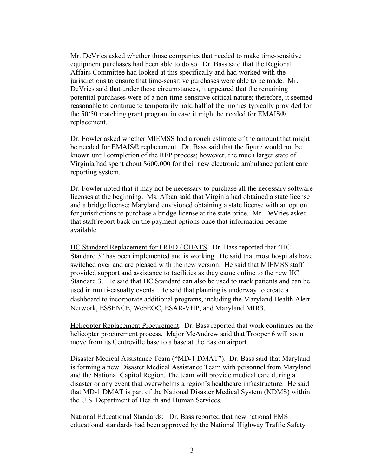Mr. DeVries asked whether those companies that needed to make time-sensitive equipment purchases had been able to do so. Dr. Bass said that the Regional Affairs Committee had looked at this specifically and had worked with the jurisdictions to ensure that time-sensitive purchases were able to be made. Mr. DeVries said that under those circumstances, it appeared that the remaining potential purchases were of a non-time-sensitive critical nature; therefore, it seemed reasonable to continue to temporarily hold half of the monies typically provided for the 50/50 matching grant program in case it might be needed for EMAIS® replacement.

Dr. Fowler asked whether MIEMSS had a rough estimate of the amount that might be needed for EMAIS® replacement. Dr. Bass said that the figure would not be known until completion of the RFP process; however, the much larger state of Virginia had spent about \$600,000 for their new electronic ambulance patient care reporting system.

Dr. Fowler noted that it may not be necessary to purchase all the necessary software licenses at the beginning. Ms. Alban said that Virginia had obtained a state license and a bridge license; Maryland envisioned obtaining a state license with an option for jurisdictions to purchase a bridge license at the state price. Mr. DeVries asked that staff report back on the payment options once that information became available.

HC Standard Replacement for FRED / CHATS. Dr. Bass reported that "HC Standard 3" has been implemented and is working. He said that most hospitals have switched over and are pleased with the new version. He said that MIEMSS staff provided support and assistance to facilities as they came online to the new HC Standard 3. He said that HC Standard can also be used to track patients and can be used in multi-casualty events. He said that planning is underway to create a dashboard to incorporate additional programs, including the Maryland Health Alert Network, ESSENCE, WebEOC, ESAR-VHP, and Maryland MIR3.

Helicopter Replacement Procurement. Dr. Bass reported that work continues on the helicopter procurement process. Major McAndrew said that Trooper 6 will soon move from its Centreville base to a base at the Easton airport.

Disaster Medical Assistance Team ("MD-1 DMAT"). Dr. Bass said that Maryland is forming a new Disaster Medical Assistance Team with personnel from Maryland and the National Capitol Region. The team will provide medical care during a disaster or any event that overwhelms a region's healthcare infrastructure. He said that MD-1 DMAT is part of the National Disaster Medical System (NDMS) within the U.S. Department of Health and Human Services.

National Educational Standards: Dr. Bass reported that new national EMS educational standards had been approved by the National Highway Traffic Safety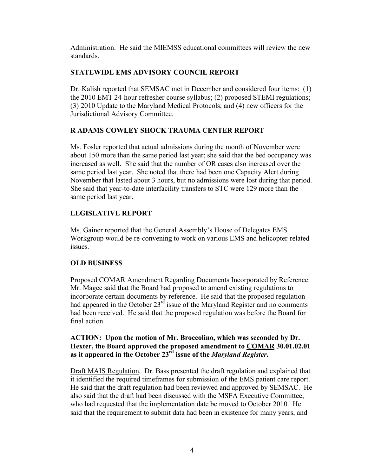Administration. He said the MIEMSS educational committees will review the new standards.

# **STATEWIDE EMS ADVISORY COUNCIL REPORT**

Dr. Kalish reported that SEMSAC met in December and considered four items: (1) the 2010 EMT 24-hour refresher course syllabus; (2) proposed STEMI regulations; (3) 2010 Update to the Maryland Medical Protocols; and (4) new officers for the Jurisdictional Advisory Committee.

# **R ADAMS COWLEY SHOCK TRAUMA CENTER REPORT**

Ms. Fosler reported that actual admissions during the month of November were about 150 more than the same period last year; she said that the bed occupancy was increased as well. She said that the number of OR cases also increased over the same period last year. She noted that there had been one Capacity Alert during November that lasted about 3 hours, but no admissions were lost during that period. She said that year-to-date interfacility transfers to STC were 129 more than the same period last year.

# **LEGISLATIVE REPORT**

Ms. Gainer reported that the General Assembly's House of Delegates EMS Workgroup would be re-convening to work on various EMS and helicopter-related issues.

# **OLD BUSINESS**

Proposed COMAR Amendment Regarding Documents Incorporated by Reference: Mr. Magee said that the Board had proposed to amend existing regulations to incorporate certain documents by reference. He said that the proposed regulation had appeared in the October  $23<sup>rd</sup>$  issue of the Maryland Register and no comments had been received. He said that the proposed regulation was before the Board for final action.

# **ACTION: Upon the motion of Mr. Broccolino, which was seconded by Dr. Hexter, the Board approved the proposed amendment to COMAR 30.01.02.01 as it appeared in the October 23rd issue of the** *Maryland Register***.**

Draft MAIS Regulation. Dr. Bass presented the draft regulation and explained that it identified the required timeframes for submission of the EMS patient care report. He said that the draft regulation had been reviewed and approved by SEMSAC. He also said that the draft had been discussed with the MSFA Executive Committee, who had requested that the implementation date be moved to October 2010. He said that the requirement to submit data had been in existence for many years, and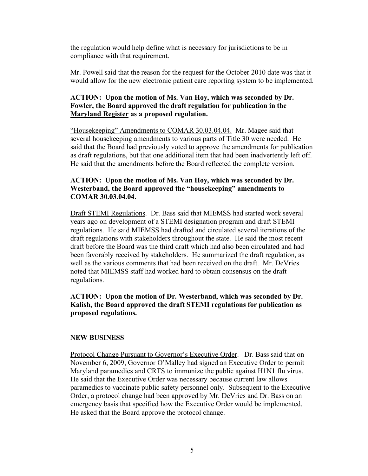the regulation would help define what is necessary for jurisdictions to be in compliance with that requirement.

Mr. Powell said that the reason for the request for the October 2010 date was that it would allow for the new electronic patient care reporting system to be implemented.

# **ACTION: Upon the motion of Ms. Van Hoy, which was seconded by Dr. Fowler, the Board approved the draft regulation for publication in the Maryland Register as a proposed regulation.**

"Housekeeping" Amendments to COMAR 30.03.04.04. Mr. Magee said that several housekeeping amendments to various parts of Title 30 were needed. He said that the Board had previously voted to approve the amendments for publication as draft regulations, but that one additional item that had been inadvertently left off. He said that the amendments before the Board reflected the complete version.

# **ACTION: Upon the motion of Ms. Van Hoy, which was seconded by Dr. Westerband, the Board approved the "housekeeping" amendments to COMAR 30.03.04.04.**

Draft STEMI Regulations. Dr. Bass said that MIEMSS had started work several years ago on development of a STEMI designation program and draft STEMI regulations. He said MIEMSS had drafted and circulated several iterations of the draft regulations with stakeholders throughout the state. He said the most recent draft before the Board was the third draft which had also been circulated and had been favorably received by stakeholders. He summarized the draft regulation, as well as the various comments that had been received on the draft. Mr. DeVries noted that MIEMSS staff had worked hard to obtain consensus on the draft regulations.

# **ACTION: Upon the motion of Dr. Westerband, which was seconded by Dr. Kalish, the Board approved the draft STEMI regulations for publication as proposed regulations.**

#### **NEW BUSINESS**

Protocol Change Pursuant to Governor's Executive Order. Dr. Bass said that on November 6, 2009, Governor O'Malley had signed an Executive Order to permit Maryland paramedics and CRTS to immunize the public against H1N1 flu virus. He said that the Executive Order was necessary because current law allows paramedics to vaccinate public safety personnel only. Subsequent to the Executive Order, a protocol change had been approved by Mr. DeVries and Dr. Bass on an emergency basis that specified how the Executive Order would be implemented. He asked that the Board approve the protocol change.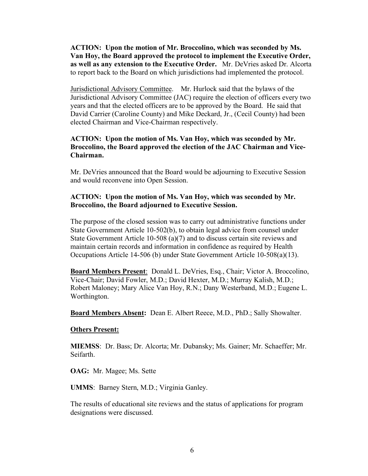**ACTION: Upon the motion of Mr. Broccolino, which was seconded by Ms. Van Hoy, the Board approved the protocol to implement the Executive Order, as well as any extension to the Executive Order.** Mr. DeVries asked Dr. Alcorta to report back to the Board on which jurisdictions had implemented the protocol.

Jurisdictional Advisory Committee. Mr. Hurlock said that the bylaws of the Jurisdictional Advisory Committee (JAC) require the election of officers every two years and that the elected officers are to be approved by the Board. He said that David Carrier (Caroline County) and Mike Deckard, Jr., (Cecil County) had been elected Chairman and Vice-Chairman respectively.

#### **ACTION: Upon the motion of Ms. Van Hoy, which was seconded by Mr. Broccolino, the Board approved the election of the JAC Chairman and Vice-Chairman.**

Mr. DeVries announced that the Board would be adjourning to Executive Session and would reconvene into Open Session.

#### **ACTION: Upon the motion of Ms. Van Hoy, which was seconded by Mr. Broccolino, the Board adjourned to Executive Session.**

The purpose of the closed session was to carry out administrative functions under State Government Article 10-502(b), to obtain legal advice from counsel under State Government Article 10-508 (a)(7) and to discuss certain site reviews and maintain certain records and information in confidence as required by Health Occupations Article 14-506 (b) under State Government Article 10-508(a)(13).

**Board Members Present**: Donald L. DeVries, Esq., Chair; Victor A. Broccolino, Vice-Chair; David Fowler, M.D.; David Hexter, M.D.; Murray Kalish, M.D.; Robert Maloney; Mary Alice Van Hoy, R.N.; Dany Westerband, M.D.; Eugene L. Worthington.

**Board Members Absent:** Dean E. Albert Reece, M.D., PhD.; Sally Showalter.

#### **Others Present:**

**MIEMSS**: Dr. Bass; Dr. Alcorta; Mr. Dubansky; Ms. Gainer; Mr. Schaeffer; Mr. Seifarth.

**OAG:** Mr. Magee; Ms. Sette

**UMMS**: Barney Stern, M.D.; Virginia Ganley.

The results of educational site reviews and the status of applications for program designations were discussed.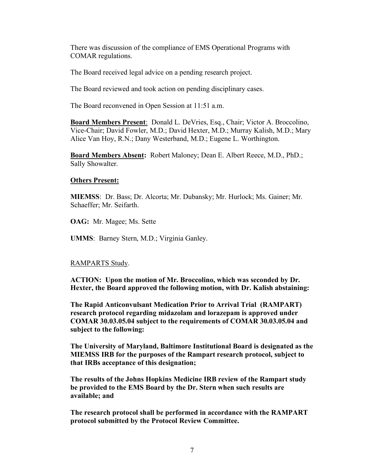There was discussion of the compliance of EMS Operational Programs with COMAR regulations.

The Board received legal advice on a pending research project.

The Board reviewed and took action on pending disciplinary cases.

The Board reconvened in Open Session at 11:51 a.m.

**Board Members Present**: Donald L. DeVries, Esq., Chair; Victor A. Broccolino, Vice-Chair; David Fowler, M.D.; David Hexter, M.D.; Murray Kalish, M.D.; Mary Alice Van Hoy, R.N.; Dany Westerband, M.D.; Eugene L. Worthington.

**Board Members Absent:** Robert Maloney; Dean E. Albert Reece, M.D., PhD.; Sally Showalter.

# **Others Present:**

**MIEMSS**: Dr. Bass; Dr. Alcorta; Mr. Dubansky; Mr. Hurlock; Ms. Gainer; Mr. Schaeffer; Mr. Seifarth.

**OAG:** Mr. Magee; Ms. Sette

**UMMS**: Barney Stern, M.D.; Virginia Ganley.

# RAMPARTS Study.

**ACTION: Upon the motion of Mr. Broccolino, which was seconded by Dr. Hexter, the Board approved the following motion, with Dr. Kalish abstaining:**

**The Rapid Anticonvulsant Medication Prior to Arrival Trial (RAMPART) research protocol regarding midazolam and lorazepam is approved under COMAR 30.03.05.04 subject to the requirements of COMAR 30.03.05.04 and subject to the following:**

**The University of Maryland, Baltimore Institutional Board is designated as the MIEMSS IRB for the purposes of the Rampart research protocol, subject to that IRBs acceptance of this designation;**

**The results of the Johns Hopkins Medicine IRB review of the Rampart study be provided to the EMS Board by the Dr. Stern when such results are available; and**

**The research protocol shall be performed in accordance with the RAMPART protocol submitted by the Protocol Review Committee.**